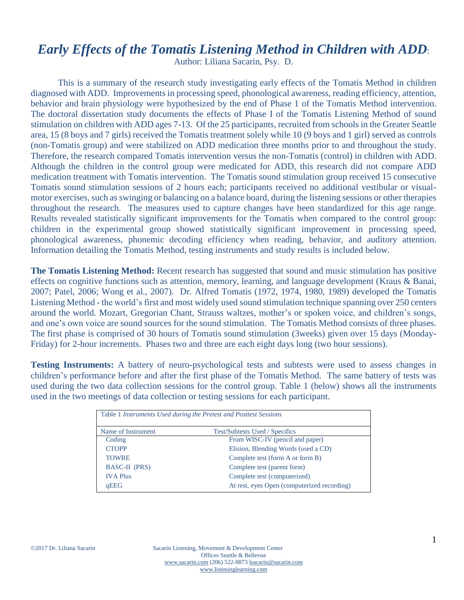## *Early Effects of the Tomatis Listening Method in Children with ADD*:

Author: Liliana Sacarin, Psy. D.

This is a summary of the research study investigating early effects of the Tomatis Method in children diagnosed with ADD. Improvements in processing speed, phonological awareness, reading efficiency, attention, behavior and brain physiology were hypothesized by the end of Phase 1 of the Tomatis Method intervention. The doctoral dissertation study documents the effects of Phase I of the Tomatis Listening Method of sound stimulation on children with ADD ages 7-13. Of the 25 participants, recruited from schools in the Greater Seattle area, 15 (8 boys and 7 girls) received the Tomatis treatment solely while 10 (9 boys and 1 girl) served as controls (non-Tomatis group) and were stabilized on ADD medication three months prior to and throughout the study. Therefore, the research compared Tomatis intervention versus the non-Tomatis (control) in children with ADD. Although the children in the control group were medicated for ADD, this research did not compare ADD medication treatment with Tomatis intervention. The Tomatis sound stimulation group received 15 consecutive Tomatis sound stimulation sessions of 2 hours each; participants received no additional vestibular or visualmotor exercises, such as swinging or balancing on a balance board, during the listening sessions or other therapies throughout the research. The measures used to capture changes have been standardized for this age range. Results revealed statistically significant improvements for the Tomatis when compared to the control group: children in the experimental group showed statistically significant improvement in processing speed, phonological awareness, phonemic decoding efficiency when reading, behavior, and auditory attention. Information detailing the Tomatis Method, testing instruments and study results is included below.

**The Tomatis Listening Method:** Recent research has suggested that sound and music stimulation has positive effects on cognitive functions such as attention, memory, learning, and language development (Kraus & Banai, 2007; Patel, 2006; Wong et al., 2007). Dr. Alfred Tomatis (1972, 1974, 1980, 1989) developed the Tomatis Listening Method - the world's first and most widely used sound stimulation technique spanning over 250 centers around the world. Mozart, Gregorian Chant, Strauss waltzes, mother's or spoken voice, and children's songs, and one's own voice are sound sources for the sound stimulation. The Tomatis Method consists of three phases. The first phase is comprised of 30 hours of Tomatis sound stimulation (3weeks) given over 15 days (Monday-Friday) for 2-hour increments. Phases two and three are each eight days long (two hour sessions).

**Testing Instruments:** A battery of neuro-psychological tests and subtests were used to assess changes in children's performance before and after the first phase of the Tomatis Method. The same battery of tests was used during the two data collection sessions for the control group. Table 1 (below) shows all the instruments used in the two meetings of data collection or testing sessions for each participant.

| Table 1 Instruments Used during the Pretest and Posttest Sessions |                                             |
|-------------------------------------------------------------------|---------------------------------------------|
| Name of Instrument                                                | Test/Subtests Used / Specifics              |
| Coding                                                            | From WISC-IV (pencil and paper)             |
| <b>CTOPP</b>                                                      | Elision, Blending Words (used a CD)         |
| <b>TOWRE</b>                                                      | Complete test (form A or form B)            |
| BASC-II (PRS)                                                     | Complete test (parent form)                 |
| <b>IVA Plus</b>                                                   | Complete test (computerized)                |
| qEEG                                                              | At rest, eyes Open (computerized recording) |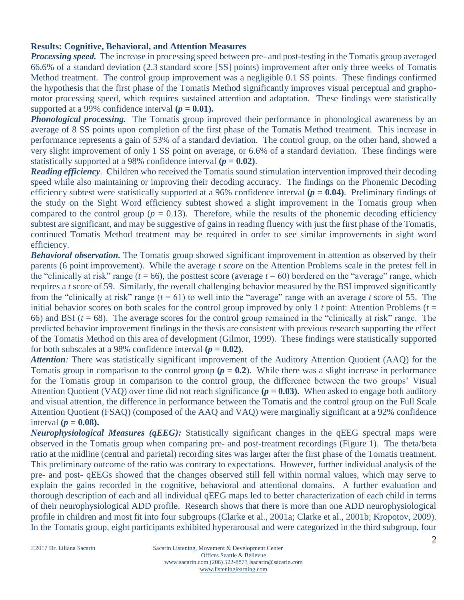## **Results: Cognitive, Behavioral, and Attention Measures**

*Processing speed.* The increase in processing speed between pre- and post-testing in the Tomatis group averaged 66.6% of a standard deviation (2.3 standard score [SS] points) improvement after only three weeks of Tomatis Method treatment. The control group improvement was a negligible 0.1 SS points. These findings confirmed the hypothesis that the first phase of the Tomatis Method significantly improves visual perceptual and graphomotor processing speed, which requires sustained attention and adaptation. These findings were statistically supported at a 99% confidence interval  $(p = 0.01)$ .

**Phonological processing.** The Tomatis group improved their performance in phonological awareness by an average of 8 SS points upon completion of the first phase of the Tomatis Method treatment. This increase in performance represents a gain of 53% of a standard deviation. The control group, on the other hand, showed a very slight improvement of only 1 SS point on average, or 6.6% of a standard deviation. These findings were statistically supported at a 98% confidence interval  $(p = 0.02)$ .

*Reading efficiency.* Children who received the Tomatis sound stimulation intervention improved their decoding speed while also maintaining or improving their decoding accuracy. The findings on the Phonemic Decoding efficiency subtest were statistically supported at a 96% confidence interval  $(p = 0.04)$ . Preliminary findings of the study on the Sight Word efficiency subtest showed a slight improvement in the Tomatis group when compared to the control group ( $p = 0.13$ ). Therefore, while the results of the phonemic decoding efficiency subtest are significant, and may be suggestive of gains in reading fluency with just the first phase of the Tomatis, continued Tomatis Method treatment may be required in order to see similar improvements in sight word efficiency.

*Behavioral observation.* The Tomatis group showed significant improvement in attention as observed by their parents (6 point improvement). While the average *t score* on the Attention Problems scale in the pretest fell in the "clinically at risk" range ( $t = 66$ ), the posttest score (average  $t = 60$ ) bordered on the "average" range, which requires a *t* score of 59. Similarly, the overall challenging behavior measured by the BSI improved significantly from the "clinically at risk" range  $(t = 61)$  to well into the "average" range with an average *t* score of 55. The initial behavior scores on both scales for the control group improved by only 1 *t* point: Attention Problems ( $t =$ 66) and BSI  $(t = 68)$ . The average scores for the control group remained in the "clinically at risk" range. The predicted behavior improvement findings in the thesis are consistent with previous research supporting the effect of the Tomatis Method on this area of development (Gilmor, 1999). These findings were statistically supported for both subscales at a 98% confidence interval  $(p = 0.02)$ .

*Attention:* There was statistically significant improvement of the Auditory Attention Quotient (AAQ) for the Tomatis group in comparison to the control group  $(p = 0.2)$ . While there was a slight increase in performance for the Tomatis group in comparison to the control group, the difference between the two groups' Visual Attention Quotient (VAQ) over time did not reach significance  $(p = 0.03)$ . When asked to engage both auditory and visual attention, the difference in performance between the Tomatis and the control group on the Full Scale Attention Quotient (FSAQ) (composed of the AAQ and VAQ) were marginally significant at a 92% confidence interval  $(p = 0.08)$ .

*Neurophysiological Measures (qEEG):* Statistically significant changes in the qEEG spectral maps were observed in the Tomatis group when comparing pre- and post-treatment recordings (Figure 1). The theta/beta ratio at the midline (central and parietal) recording sites was larger after the first phase of the Tomatis treatment. This preliminary outcome of the ratio was contrary to expectations. However, further individual analysis of the pre- and post- qEEGs showed that the changes observed still fell within normal values, which may serve to explain the gains recorded in the cognitive, behavioral and attentional domains. A further evaluation and thorough description of each and all individual qEEG maps led to better characterization of each child in terms of their neurophysiological ADD profile. Research shows that there is more than one ADD neurophysiological profile in children and most fit into four subgroups (Clarke et al., 2001a; Clarke et al., 2001b; Kropotov, 2009). In the Tomatis group, eight participants exhibited hyperarousal and were categorized in the third subgroup, four